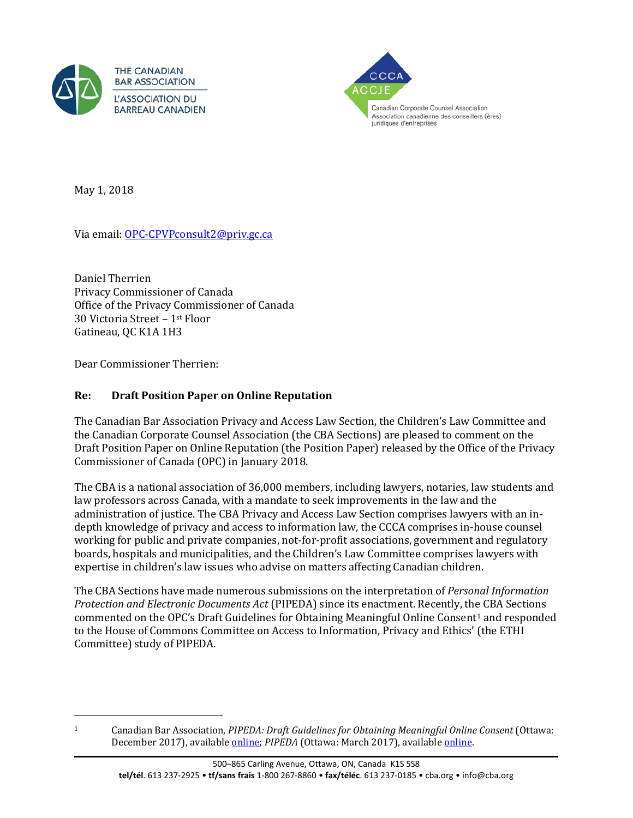



May 1, 2018

j

Via email[: OPC-CPVPconsult2@priv.gc.ca](mailto:OPC-CPVPconsult2@priv.gc.ca) 

Daniel Therrien Privacy Commissioner of Canada Office of the Privacy Commissioner of Canada 30 Victoria Street – 1st Floor Gatineau, QC K1A 1H3

Dear Commissioner Therrien:

# **Re: Draft Position Paper on Online Reputation**

The Canadian Bar Association Privacy and Access Law Section, the Children's Law Committee and the Canadian Corporate Counsel Association (the CBA Sections) are pleased to comment on the Draft Position Paper on Online Reputation (the Position Paper) released by the Office of the Privacy Commissioner of Canada (OPC) in January 2018.

The CBA is a national association of 36,000 members, including lawyers, notaries, law students and law professors across Canada, with a mandate to seek improvements in the law and the administration of justice. The CBA Privacy and Access Law Section comprises lawyers with an indepth knowledge of privacy and access to information law, the CCCA comprises in-house counsel working for public and private companies, not-for-profit associations, government and regulatory boards, hospitals and municipalities, and the Children's Law Committee comprises lawyers with expertise in children's law issues who advise on matters affecting Canadian children.

The CBA Sections have made numerous submissions on the interpretation of *Personal Information Protection and Electronic Documents Act* (PIPEDA) since its enactment. Recently, th[e](#page-0-0) CBA Sections commented on the OPC's Draft Guidelines for Obtaining Meaningful Online Consent<sup>1</sup> and responded to the House of Commons Committee on Access to Information, Privacy and Ethics' (the ETHI Committee) study of PIPEDA.

<span id="page-0-0"></span><sup>1</sup> Canadian Bar Association, *PIPEDA: Draft Guidelines for Obtaining Meaningful Online Consent* (Ottawa: December 2017), availabl[e online;](https://www.cba.org/CMSPages/GetFile.aspx?guid=42dec738-09b0-45b8-9ba6-bfcddbd0c5eb) *PIPEDA* (Ottawa: March 2017), available [online.](https://www.cba.org/CMSPages/GetFile.aspx?guid=1775ca6e-e80c-4bee-a1bb-a8b9c8857a5a)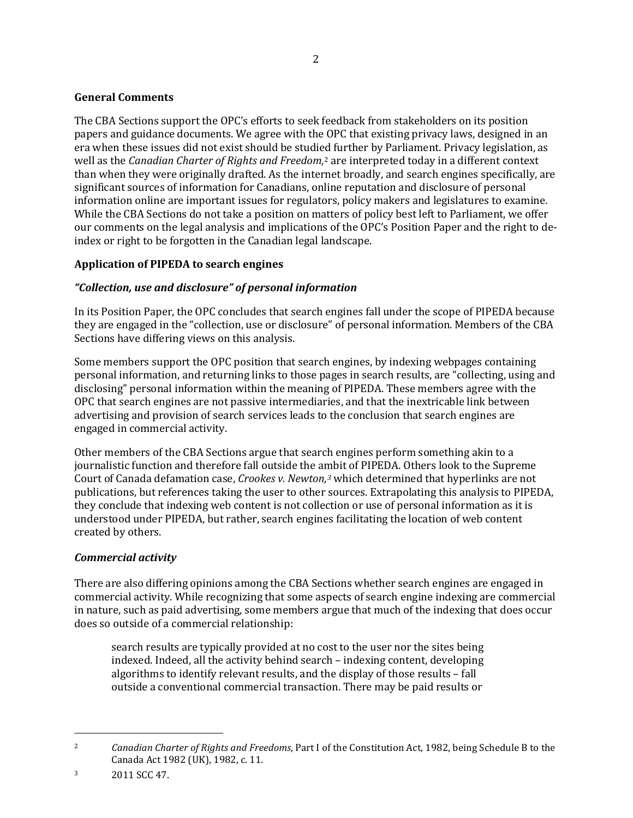#### **General Comments**

The CBA Sections support the OPC's efforts to seek feedback from stakeholders on its position papers and guidance documents. We agree with the OPC that existing privacy laws, designed in an era when these issues did not exist should be studi[ed](#page-1-0) further by Parliament. Privacy legislation, as well as the *Canadian Charter of Rights and Freedom,*<sup>2</sup> are interpreted today in a different context than when they were originally drafted. As the internet broadly, and search engines specifically, are significant sources of information for Canadians, online reputation and disclosure of personal information online are important issues for regulators, policy makers and legislatures to examine. While the CBA Sections do not take a position on matters of policy best left to Parliament, we offer our comments on the legal analysis and implications of the OPC's Position Paper and the right to deindex or right to be forgotten in the Canadian legal landscape.

## **Application of PIPEDA to search engines**

## *"Collection, use and disclosure" of personal information*

In its Position Paper, the OPC concludes that search engines fall under the scope of PIPEDA because they are engaged in the "collection, use or disclosure" of personal information. Members of the CBA Sections have differing views on this analysis.

Some members support the OPC position that search engines, by indexing webpages containing personal information, and returning links to those pages in search results, are "collecting, using and disclosing" personal information within the meaning of PIPEDA. These members agree with the OPC that search engines are not passive intermediaries, and that the inextricable link between advertising and provision of search services leads to the conclusion that search engines are engaged in commercial activity.

Other members of the CBA Sections argue that search engines perform something akin to a journalistic function and therefore fall outside the ambit of PIPEDA. Others look to the Supreme Court of Canada defamation case, *Crookes v. Newton,[3](#page-1-1)* which determined that hyperlinks are not publications, but references taking the user to other sources. Extrapolating this analysis to PIPEDA, they conclude that indexing web content is not collection or use of personal information as it is understood under PIPEDA, but rather, search engines facilitating the location of web content created by others.

#### *Commercial activity*

There are also differing opinions among the CBA Sections whether search engines are engaged in commercial activity. While recognizing that some aspects of search engine indexing are commercial in nature, such as paid advertising, some members argue that much of the indexing that does occur does so outside of a commercial relationship:

search results are typically provided at no cost to the user nor the sites being indexed. Indeed, all the activity behind search – indexing content, developing algorithms to identify relevant results, and the display of those results – fall outside a conventional commercial transaction. There may be paid results or

<span id="page-1-0"></span><sup>2</sup> *Canadian Charter of Rights and Freedoms*, Part I of the Constitution Act, 1982, being Schedule B to the Canada Act 1982 (UK), 1982, c. 11.

<span id="page-1-1"></span><sup>3 2011</sup> SCC 47.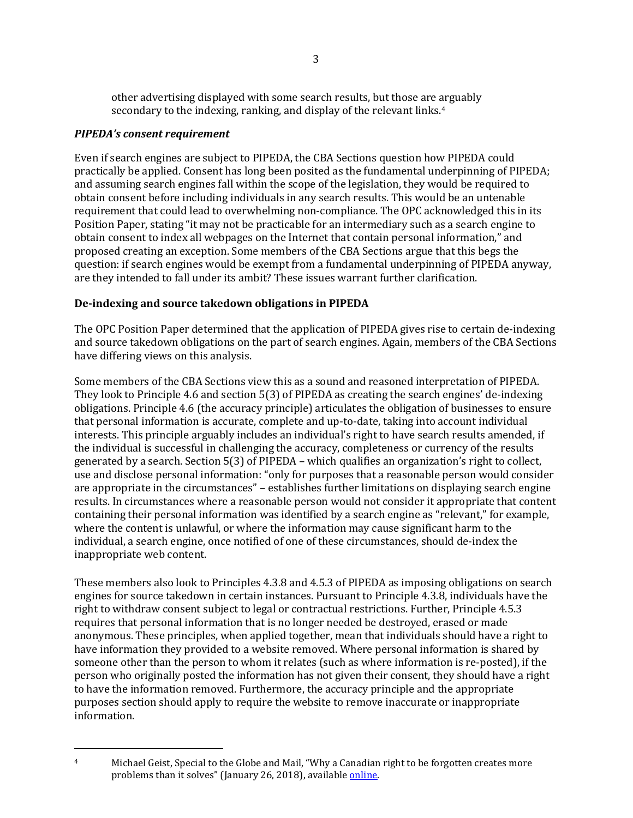other advertising displayed with some search results, but those are arguably secondary to the indexing, ranking, and display of the relevant links.<sup>[4](#page-2-0)</sup>

## *PIPEDA's consent requirement*

Even if search engines are subject to PIPEDA, the CBA Sections question how PIPEDA could practically be applied. Consent has long been posited as the fundamental underpinning of PIPEDA; and assuming search engines fall within the scope of the legislation, they would be required to obtain consent before including individuals in any search results. This would be an untenable requirement that could lead to overwhelming non-compliance. The OPC acknowledged this in its Position Paper, stating "it may not be practicable for an intermediary such as a search engine to obtain consent to index all webpages on the Internet that contain personal information," and proposed creating an exception. Some members of the CBA Sections argue that this begs the question: if search engines would be exempt from a fundamental underpinning of PIPEDA anyway, are they intended to fall under its ambit? These issues warrant further clarification.

## **De-indexing and source takedown obligations in PIPEDA**

The OPC Position Paper determined that the application of PIPEDA gives rise to certain de-indexing and source takedown obligations on the part of search engines. Again, members of the CBA Sections have differing views on this analysis.

Some members of the CBA Sections view this as a sound and reasoned interpretation of PIPEDA. They look to Principle 4.6 and section 5(3) of PIPEDA as creating the search engines' de-indexing obligations. Principle 4.6 (the accuracy principle) articulates the obligation of businesses to ensure that personal information is accurate, complete and up-to-date, taking into account individual interests. This principle arguably includes an individual's right to have search results amended, if the individual is successful in challenging the accuracy, completeness or currency of the results generated by a search. Section 5(3) of PIPEDA – which qualifies an organization's right to collect, use and disclose personal information: "only for purposes that a reasonable person would consider are appropriate in the circumstances" – establishes further limitations on displaying search engine results. In circumstances where a reasonable person would not consider it appropriate that content containing their personal information was identified by a search engine as "relevant," for example, where the content is unlawful, or where the information may cause significant harm to the individual, a search engine, once notified of one of these circumstances, should de-index the inappropriate web content.

These members also look to Principles 4.3.8 and 4.5.3 of PIPEDA as imposing obligations on search engines for source takedown in certain instances. Pursuant to Principle 4.3.8, individuals have the right to withdraw consent subject to legal or contractual restrictions. Further, Principle 4.5.3 requires that personal information that is no longer needed be destroyed, erased or made anonymous. These principles, when applied together, mean that individuals should have a right to have information they provided to a website removed. Where personal information is shared by someone other than the person to whom it relates (such as where information is re-posted), if the person who originally posted the information has not given their consent, they should have a right to have the information removed. Furthermore, the accuracy principle and the appropriate purposes section should apply to require the website to remove inaccurate or inappropriate information.

<span id="page-2-0"></span>j 4 Michael Geist, Special to the Globe and Mail, "Why a Canadian right to be forgotten creates more problems than it solves" (January 26, 2018), available online.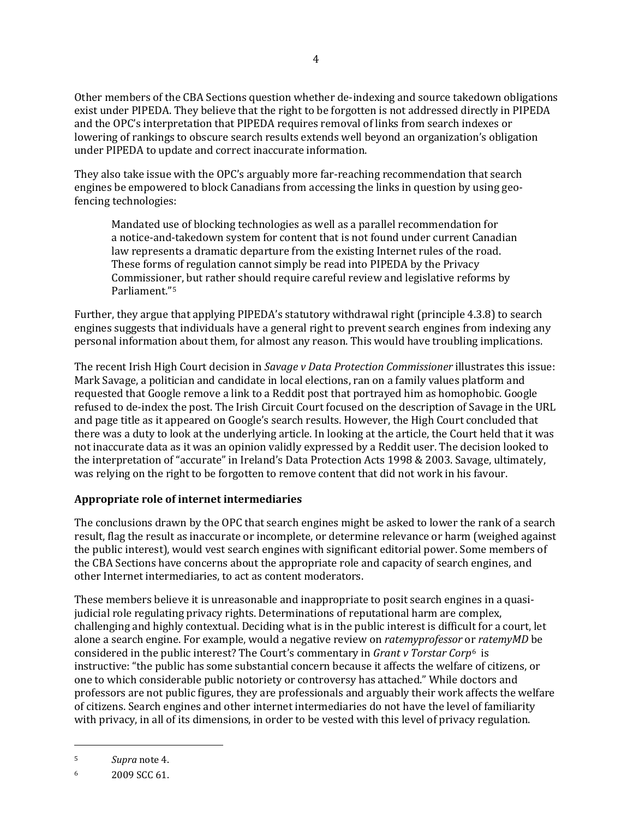Other members of the CBA Sections question whether de-indexing and source takedown obligations exist under PIPEDA. They believe that the right to be forgotten is not addressed directly in PIPEDA and the OPC's interpretation that PIPEDA requires removal of links from search indexes or lowering of rankings to obscure search results extends well beyond an organization's obligation under PIPEDA to update and correct inaccurate information.

They also take issue with the OPC's arguably more far-reaching recommendation that search engines be empowered to block Canadians from accessing the links in question by using geofencing technologies:

Mandated use of blocking technologies as well as a parallel recommendation for a notice-and-takedown system for content that is not found under current Canadian law represents a dramatic departure from the existing Internet rules of the road. These forms of regulation cannot simply be read into PIPEDA by the Privacy Commission[e](#page-3-0)r, but rather should require careful review and legislative reforms by Parliament."5

Further, they argue that applying PIPEDA's statutory withdrawal right (principle 4.3.8) to search engines suggests that individuals have a general right to prevent search engines from indexing any personal information about them, for almost any reason. This would have troubling implications.

The recent Irish High Court decision in *Savage v Data Protection Commissioner* illustrates this issue: Mark Savage, a politician and candidate in local elections, ran on a family values platform and requested that Google remove a link to a Reddit post that portrayed him as homophobic. Google refused to de-index the post. The Irish Circuit Court focused on the description of Savage in the URL and page title as it appeared on Google's search results. However, the High Court concluded that there was a duty to look at the underlying article. In looking at the article, the Court held that it was not inaccurate data as it was an opinion validly expressed by a Reddit user. The decision looked to the interpretation of "accurate" in Ireland's Data Protection Acts 1998 & 2003. Savage, ultimately, was relying on the right to be forgotten to remove content that did not work in his favour.

#### **Appropriate role of internet intermediaries**

The conclusions drawn by the OPC that search engines might be asked to lower the rank of a search result, flag the result as inaccurate or incomplete, or determine relevance or harm (weighed against the public interest), would vest search engines with significant editorial power. Some members of the CBA Sections have concerns about the appropriate role and capacity of search engines, and other Internet intermediaries, to act as content moderators.

These members believe it is unreasonable and inappropriate to posit search engines in a quasijudicial role regulating privacy rights. Determinations of reputational harm are complex, challenging and highly contextual. Deciding what is in the public interest is difficult for a court, let alone a search engine. For example, would a negative review on *ratemyprofessor* or *ratemyMD* be considered in the public interest? The Court's commentary in *Grant v Torstar Corp*[6](#page-3-1) is instructive: "the public has some substantial concern because it affects the welfare of citizens, or one to which considerable public notoriety or controversy has attached." While doctors and professors are not public figures, they are professionals and arguably their work affects the welfare of citizens. Search engines and other internet intermediaries do not have the level of familiarity with privacy, in all of its dimensions, in order to be vested with this level of privacy regulation.

<span id="page-3-0"></span><sup>5</sup> *Supra* note 4.

<span id="page-3-1"></span><sup>6 2009</sup> SCC 61.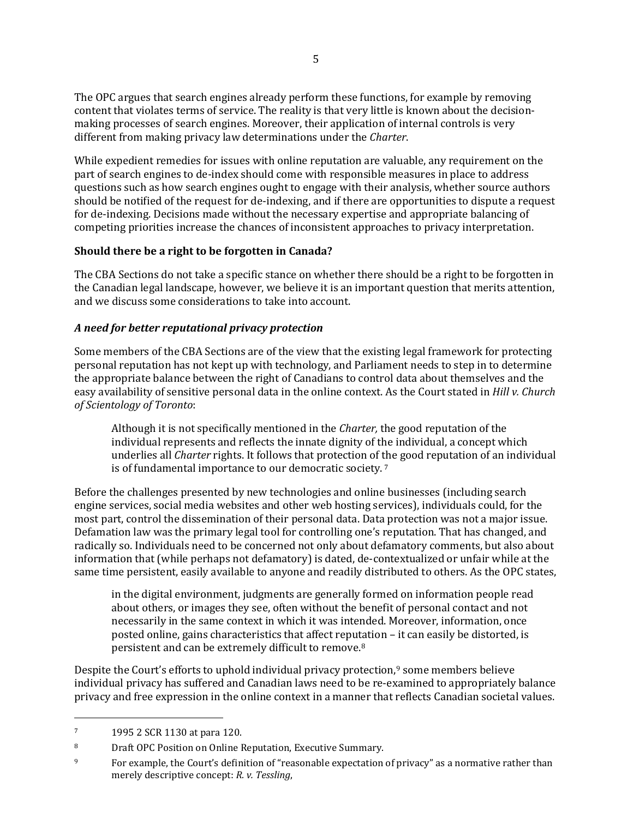The OPC argues that search engines already perform these functions, for example by removing content that violates terms of service. The reality is that very little is known about the decisionmaking processes of search engines. Moreover, their application of internal controls is very different from making privacy law determinations under the *Charter*.

While expedient remedies for issues with online reputation are valuable, any requirement on the part of search engines to de-index should come with responsible measures in place to address questions such as how search engines ought to engage with their analysis, whether source authors should be notified of the request for de-indexing, and if there are opportunities to dispute a request for de-indexing. Decisions made without the necessary expertise and appropriate balancing of competing priorities increase the chances of inconsistent approaches to privacy interpretation.

## **Should there be a right to be forgotten in Canada?**

The CBA Sections do not take a specific stance on whether there should be a right to be forgotten in the Canadian legal landscape, however, we believe it is an important question that merits attention, and we discuss some considerations to take into account.

## *A need for better reputational privacy protection*

Some members of the CBA Sections are of the view that the existing legal framework for protecting personal reputation has not kept up with technology, and Parliament needs to step in to determine the appropriate balance between the right of Canadians to control data about themselves and the easy availability of sensitive personal data in the online context. As the Court stated in *Hill v. Church of Scientology of Toronto*:

Although it is not specifically mentioned in the *Charter,* the good reputation of the individual represents and reflects the innate dignity of the individual, a concept which underlies all *Charter* rights. It follows that protection of [th](#page-4-0)e good reputation of an individual is of fundamental importance to our democratic society.<sup>7</sup>

Before the challenges presented by new technologies and online businesses (including search engine services, social media websites and other web hosting services), individuals could, for the most part, control the dissemination of their personal data. Data protection was not a major issue. Defamation law was the primary legal tool for controlling one's reputation. That has changed, and radically so. Individuals need to be concerned not only about defamatory comments, but also about information that (while perhaps not defamatory) is dated, de-contextualized or unfair while at the same time persistent, easily available to anyone and readily distributed to others. As the OPC states,

in the digital environment, judgments are generally formed on information people read about others, or images they see, often without the benefit of personal contact and not necessarily in the same context in which it was intended. Moreover, information, once posted online, gains characteristics that affect repu[ta](#page-4-1)tion – it can easily be distorted, is persistent and can be extremely difficult to remove.8

Despite the Court's efforts to uphold individual privacy protection,<sup>[9](#page-4-2)</sup> some members believe individual privacy has suffered and Canadian laws need to be re-examined to appropriately balance privacy and free expression in the online context in a manner that reflects Canadian societal values.

<span id="page-4-0"></span><sup>7 1995</sup> 2 SCR 1130 at para 120.

<span id="page-4-1"></span><sup>8</sup> Draft OPC Position on Online Reputation, Executive Summary.

<span id="page-4-2"></span><sup>9</sup> For example, the Court's definition of "reasonable expectation of privacy" as a normative rather than merely descriptive concept: *R. v. Tessling*,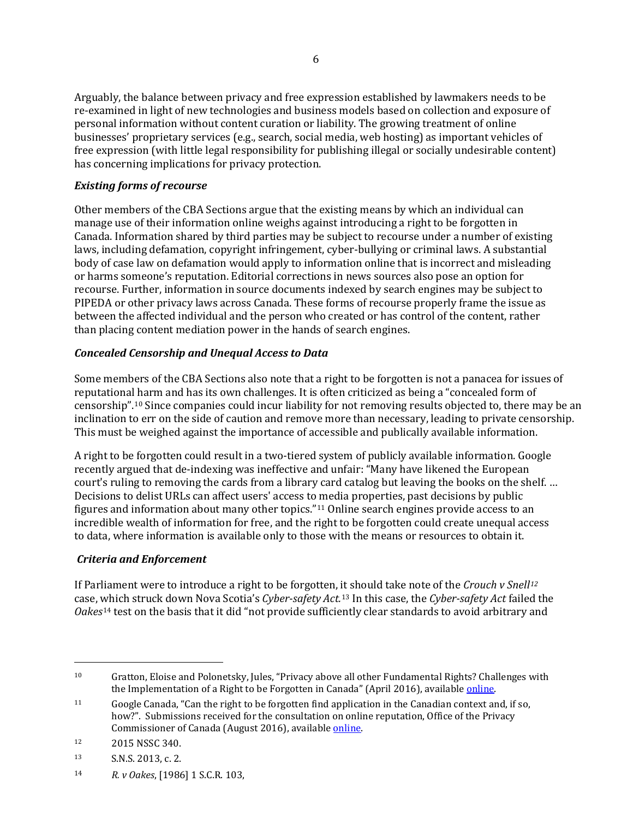Arguably, the balance between privacy and free expression established by lawmakers needs to be re-examined in light of new technologies and business models based on collection and exposure of personal information without content curation or liability. The growing treatment of online businesses' proprietary services (e.g., search, social media, web hosting) as important vehicles of free expression (with little legal responsibility for publishing illegal or socially undesirable content) has concerning implications for privacy protection.

## *Existing forms of recourse*

Other members of the CBA Sections argue that the existing means by which an individual can manage use of their information online weighs against introducing a right to be forgotten in Canada. Information shared by third parties may be subject to recourse under a number of existing laws, including defamation, copyright infringement, cyber-bullying or criminal laws. A substantial body of case law on defamation would apply to information online that is incorrect and misleading or harms someone's reputation. Editorial corrections in news sources also pose an option for recourse. Further, information in source documents indexed by search engines may be subject to PIPEDA or other privacy laws across Canada. These forms of recourse properly frame the issue as between the affected individual and the person who created or has control of the content, rather than placing content mediation power in the hands of search engines.

## *Concealed Censorship and Unequal Access to Data*

Some members of the CBA Sections also note that a right to be forgotten is not a panacea for issues of reputational harm and has its own challenges. It is often criticized as being a "concealed form of censorship".[10](#page-5-0) Since companies could incur liability for not removing results objected to, there may be an inclination to err on the side of caution and remove more than necessary, leading to private censorship. This must be weighed against the importance of accessible and publically available information.

A right to be forgotten could result in a two-tiered system of publicly available information. Google recently argued that de-indexing was ineffective and unfair: "Many have likened the European court's ruling to removing the cards from a library card catalog but leaving the books on the shelf. … Decisions to delist URLs can affect users' access to [m](#page-5-1)edia properties, past decisions by public figures and information about many other topics."11 Online search engines provide access to an incredible wealth of information for free, and the right to be forgotten could create unequal access to data, where information is available only to those with the means or resources to obtain it.

# *Criteria and Enforcement*

If Parliament were to introduce a right to be forgotten, [it](#page-5-3) should take note of the *Crouch v Snell[12](#page-5-2)* case, [wh](#page-5-4)ich struck down Nova Scotia's *Cyber-safety Act.*<sup>13</sup> In this case, the *Cyber-safety Act* failed the *Oakes*<sup>14</sup> test on the basis that it did "not provide sufficiently clear standards to avoid arbitrary and

<span id="page-5-0"></span>j 10 Gratton, Eloise and Polonetsky, Jules, "Privacy above all other Fundamental Rights? Challenges with the Implementation of a Right to be Forgotten in Canada" (April 2016), available *online*.

<span id="page-5-1"></span><sup>11</sup> Google Canada, "Can the right to be forgotten find application in the Canadian context and, if so, how?". Submissions received for the consultation on online reputation, Office of the Privacy Commissioner of Canada (August 2016), available online.

<span id="page-5-2"></span><sup>12 2015</sup> NSSC 340.

<span id="page-5-3"></span><sup>13</sup> S.N.S. 2013, c. 2.

<span id="page-5-4"></span><sup>14</sup> *R. v Oakes*, [1986] 1 S.C.R. 103,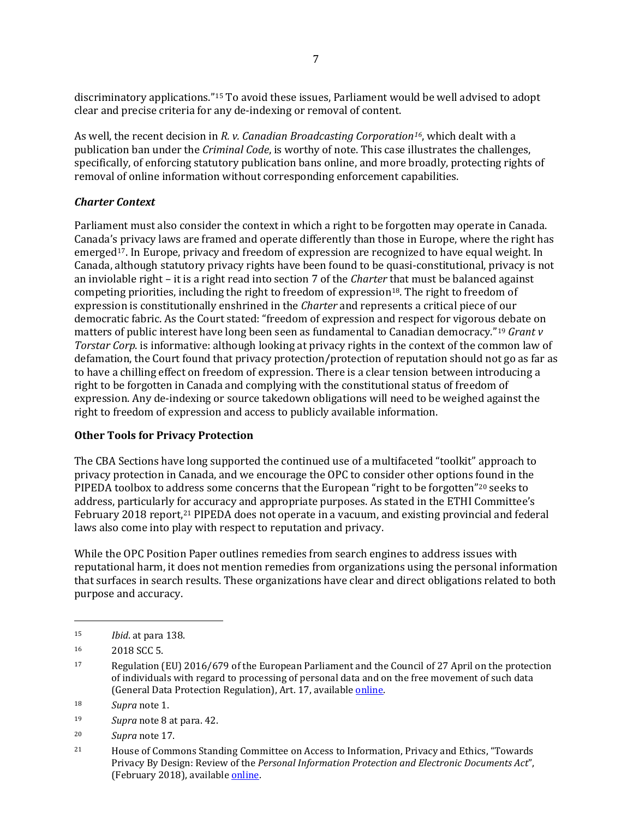discriminatory applications.["15](#page-6-0) To avoid these issues, Parliament would be well advised to adopt clear and precise criteria for any de-indexing or removal of content.

As well, the recent decision in *R. v. Canadian Broadcasting Corporation[16](#page-6-1)*, which dealt with a publication ban under the *Criminal Code*, is worthy of note. This case illustrates the challenges, specifically, of enforcing statutory publication bans online, and more broadly, protecting rights of removal of online information without corresponding enforcement capabilities.

# *Charter Context*

Parliament must also consider the context in which a right to be forgotten may operate in Canada. Canada's privacy laws are framed and operate differently than those in Europe, where the right has emerged[17.](#page-6-2) In Europe, privacy and freedom of expression are recognized to have equal weight. In Canada, although statutory privacy rights have been found to be quasi-constitutional, privacy is not an inviolable right – it is a right read into section 7 of the *Charter* that must be balanced against competing priorities, including the right to freedom of expression[18](#page-6-3). The right to freedom of expression is constitutionally enshrined in the *Charter* and represents a critical piece of our democratic fabric. As the Court stated: "freedom of expression and respect for vigorous debate on matters of public interest have long been seen as fundamental to Canadian democracy."[19](#page-6-4) *Grant v Torstar Corp*. is informative: although looking at privacy rights in the context of the common law of defamation, the Court found that privacy protection/protection of reputation should not go as far as to have a chilling effect on freedom of expression. There is a clear tension between introducing a right to be forgotten in Canada and complying with the constitutional status of freedom of expression. Any de-indexing or source takedown obligations will need to be weighed against the right to freedom of expression and access to publicly available information.

#### **Other Tools for Privacy Protection**

The CBA Sections have long supported the continued use of a multifaceted "toolkit" approach to privacy protection in Canada, and we encourage the OPC to consider other options found in the PIPEDA toolbox to address some concerns that the European "right to be forgotten["20](#page-6-5) seeks to address, particularly for accuracy and appropriate purposes. As stated in the ETHI Committee's February 2018 report,<sup>21</sup> PIPEDA does not operate in a vacuum, and existing provincial and federal laws also come into play with respect to reputation and privacy.

While the OPC Position Paper outlines remedies from search engines to address issues with reputational harm, it does not mention remedies from organizations using the personal information that surfaces in search results. These organizations have clear and direct obligations related to both purpose and accuracy.

<span id="page-6-0"></span><sup>15</sup> *Ibid*. at para 138.

<span id="page-6-1"></span><sup>16 2018</sup> SCC 5.

<span id="page-6-2"></span><sup>17</sup> Regulation (EU) 2016/679 of the European Parliament and the Council of 27 April on the protection of individuals with regard to processing of personal data and on the free movement of such data (General Data Protection Regulation), Art. 17, availabl[e online.](http://data.consilium.europa.eu/doc/document/ST-5419-2016-INIT/en/pdf)

<span id="page-6-3"></span><sup>18</sup> *Supra* note 1.

<span id="page-6-4"></span><sup>19</sup> *Supra* note 8 at para. 42.

<span id="page-6-5"></span><sup>20</sup> *Supra* note 17.

<span id="page-6-6"></span><sup>&</sup>lt;sup>21</sup> House of Commons Standing Committee on Access to Information, Privacy and Ethics, "Towards Privacy By Design: Review of the *Personal Information Protection and Electronic Documents Act*", (February 2018), available [online.](http://www.ourcommons.ca/DocumentViewer/en/42-1/ETHI/report-12)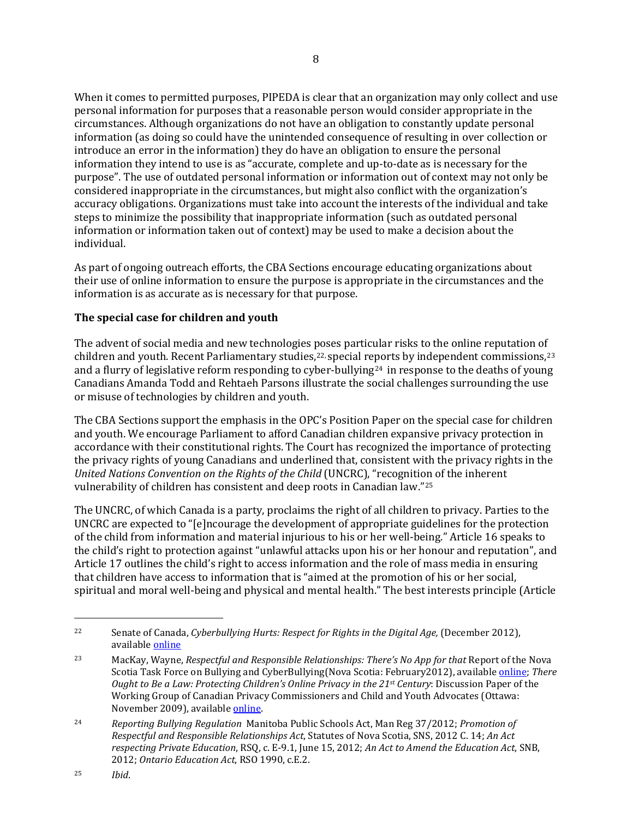When it comes to permitted purposes, PIPEDA is clear that an organization may only collect and use personal information for purposes that a reasonable person would consider appropriate in the circumstances. Although organizations do not have an obligation to constantly update personal information (as doing so could have the unintended consequence of resulting in over collection or introduce an error in the information) they do have an obligation to ensure the personal information they intend to use is as "accurate, complete and up-to-date as is necessary for the purpose". The use of outdated personal information or information out of context may not only be considered inappropriate in the circumstances, but might also conflict with the organization's accuracy obligations. Organizations must take into account the interests of the individual and take steps to minimize the possibility that inappropriate information (such as outdated personal information or information taken out of context) may be used to make a decision about the individual.

As part of ongoing outreach efforts, the CBA Sections encourage educating organizations about their use of online information to ensure the purpose is appropriate in the circumstances and the information is as accurate as is necessary for that purpose.

## **The special case for children and youth**

The advent of social media and new technologies poses particular risks to the online reputation of children and youth. Recent Parliamentary studies, $22$ , special reports by independent commissions, $23$ and a flurry of legislative reform responding to cyber-bullying<sup>[24](#page-7-2)</sup> in response to the deaths of young Canadians Amanda Todd and Rehtaeh Parsons illustrate the social challenges surrounding the use or misuse of technologies by children and youth.

The CBA Sections support the emphasis in the OPC's Position Paper on the special case for children and youth. We encourage Parliament to afford Canadian children expansive privacy protection in accordance with their constitutional rights. The Court has recognized the importance of protecting the privacy rights of young Canadians and underlined that, consistent with the privacy rights in the *United Nations Convention on the Rights of the Child* (UNCRC), "recognition of the inherent vulnerability of children has consistent and deep roots in Canadian law."[25](#page-7-3)

The UNCRC, of which Canada is a party, proclaims the right of all children to privacy. Parties to the UNCRC are expected to "[e]ncourage the development of appropriate guidelines for the protection of the child from information and material injurious to his or her well-being." Article 16 speaks to the child's right to protection against "unlawful attacks upon his or her honour and reputation", and Article 17 outlines the child's right to access information and the role of mass media in ensuring that children have access to information that is "aimed at the promotion of his or her social, spiritual and moral well-being and physical and mental health." The best interests principle (Article

<span id="page-7-0"></span><sup>22</sup> Senate of Canada, *Cyberbullying Hurts: Respect for Rights in the Digital Age,* (December 2012), availabl[e online](https://sencanada.ca/Content/SEN/Committee/411/ridr/rep/rep09dec12-e.pdf%20.) 

<span id="page-7-1"></span><sup>23</sup> MacKay, Wayne, *Respectful and Responsible Relationships: There's No App for that* Report of the Nova Scotia Task Force on Bullying and CyberBullying(Nova Scotia: February2012), available [online;](https://www.ednet.ns.ca/docs/cyberbullyingtaskforcereport.pdf%20;) *There Ought to Be a Law: Protecting Children's Online Privacy in the 21st Century*: Discussion Paper of the Working Group of Canadian Privacy Commissioners and Child and Youth Advocates (Ottawa: November 2009), availabl[e online.](http://leg-horizon.gnb.ca/e-repository/monographs/30000000047616/30000000047616.pdf%20.) 

<span id="page-7-3"></span><span id="page-7-2"></span><sup>24</sup> *Reporting Bullying Regulation* Manitoba Public Schools Act, Man Reg 37/2012; *Promotion of Respectful and Responsible Relationships Act*, Statutes of Nova Scotia, SNS, 2012 C. 14; *An Act respecting Private Education*, RSQ, c. E-9.1, June 15, 2012; *An Act to Amend the Education Act*, SNB, 2012; *Ontario Education Act*, RSO 1990, c.E.2.